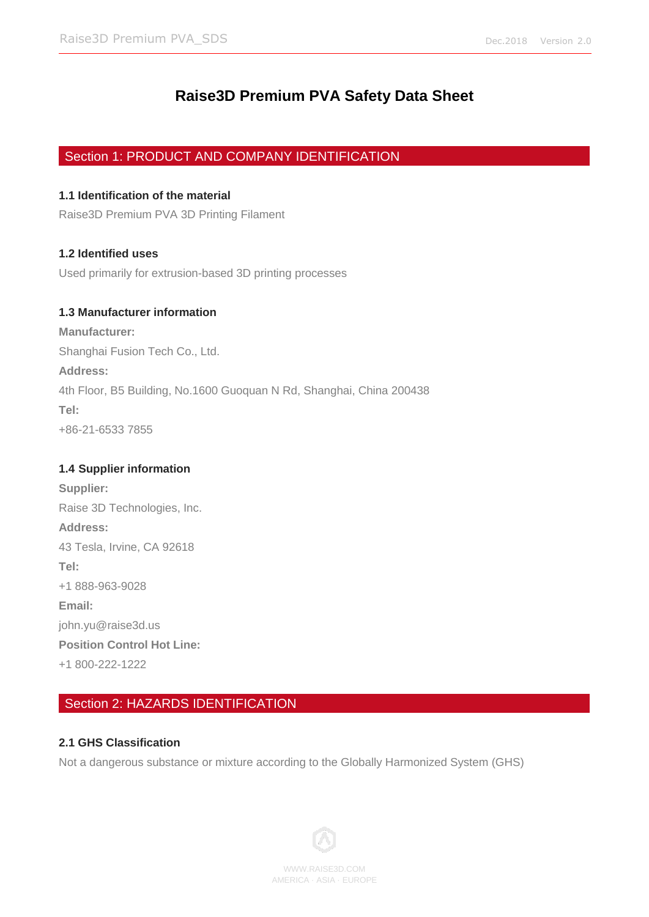# **Raise3D Premium PVA Safety Data Sheet**

# Section 1: PRODUCT AND COMPANY IDENTIFICATION

# **1.1 Identification of the material**

Raise3D Premium PVA 3D Printing Filament

# **1.2 Identified uses**

Used primarily for extrusion-based 3D printing processes

# **1.3 Manufacturer information**

**Manufacturer:** Shanghai Fusion Tech Co., Ltd. **Address:** 4th Floor, B5 Building, No.1600 Guoquan N Rd, Shanghai, China 200438 **Tel:** +86-21-6533 7855

# **1.4 Supplier information**

**Supplier:** Raise 3D Technologies, Inc. **Address:** 43 Tesla, Irvine, CA 92618 **Tel:** +1 888-963-9028 **Email:** john.yu@raise3d.us **Position Control Hot Line:** +1 800-222-1222

# Section 2: HAZARDS IDENTIFICATION

# **2.1 GHS Classification**

Not a dangerous substance or mixture according to the Globally Harmonized System (GHS)

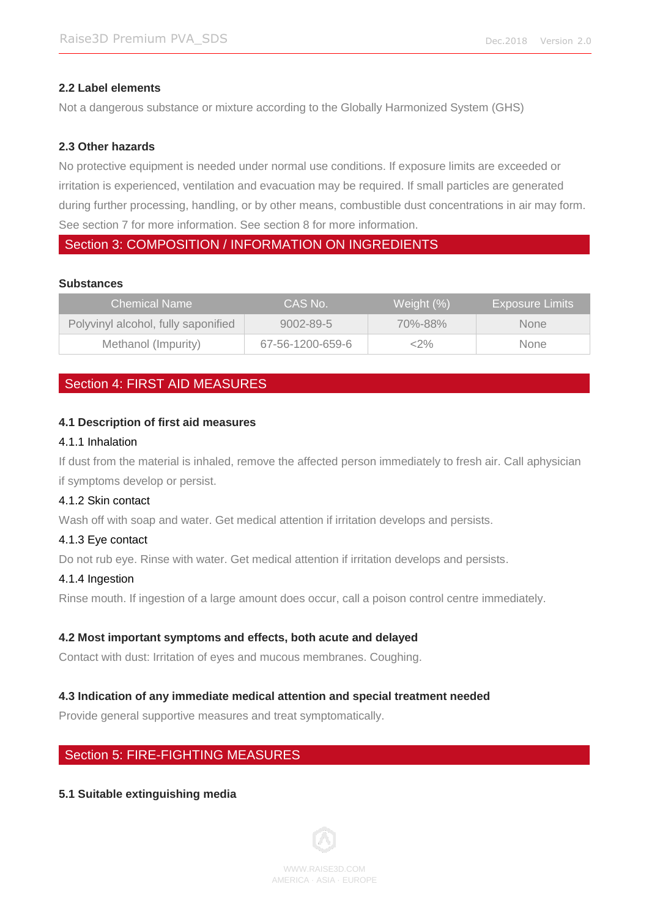### **2.2 Label elements**

Not a dangerous substance or mixture according to the Globally Harmonized System (GHS)

### **2.3 Other hazards**

No protective equipment is needed under normal use conditions. If exposure limits are exceeded or irritation is experienced, ventilation and evacuation may be required. If small particles are generated during further processing, handling, or by other means, combustible dust concentrations in air may form. See section 7 for more information. See section 8 for more information.

# Section 3: COMPOSITION / INFORMATION ON INGREDIENTS

### **Substances**

| <b>Chemical Name</b>                | CAS No.          | Weight (%) | <b>Exposure Limits</b> |
|-------------------------------------|------------------|------------|------------------------|
| Polyvinyl alcohol, fully saponified | $9002 - 89 - 5$  | 70%-88%    | <b>None</b>            |
| Methanol (Impurity)                 | 67-56-1200-659-6 | <2%        | <b>None</b>            |

# Section 4: FIRST AID MEASURES

### **4.1 Description of first aid measures**

### 4.1.1 Inhalation

If dust from the material is inhaled, remove the affected person immediately to fresh air. Call aphysician if symptoms develop or persist.

### 4.1.2 Skin contact

Wash off with soap and water. Get medical attention if irritation develops and persists.

### 4.1.3 Eye contact

Do not rub eye. Rinse with water. Get medical attention if irritation develops and persists.

### 4.1.4 Ingestion

Rinse mouth. If ingestion of a large amount does occur, call a poison control centre immediately.

### **4.2 Most important symptoms and effects, both acute and delayed**

Contact with dust: Irritation of eyes and mucous membranes. Coughing.

### **4.3 Indication of any immediate medical attention and special treatment needed**

Provide general supportive measures and treat symptomatically.

### Section 5: FIRE-FIGHTING MEASURES

### **5.1 Suitable extinguishing media**

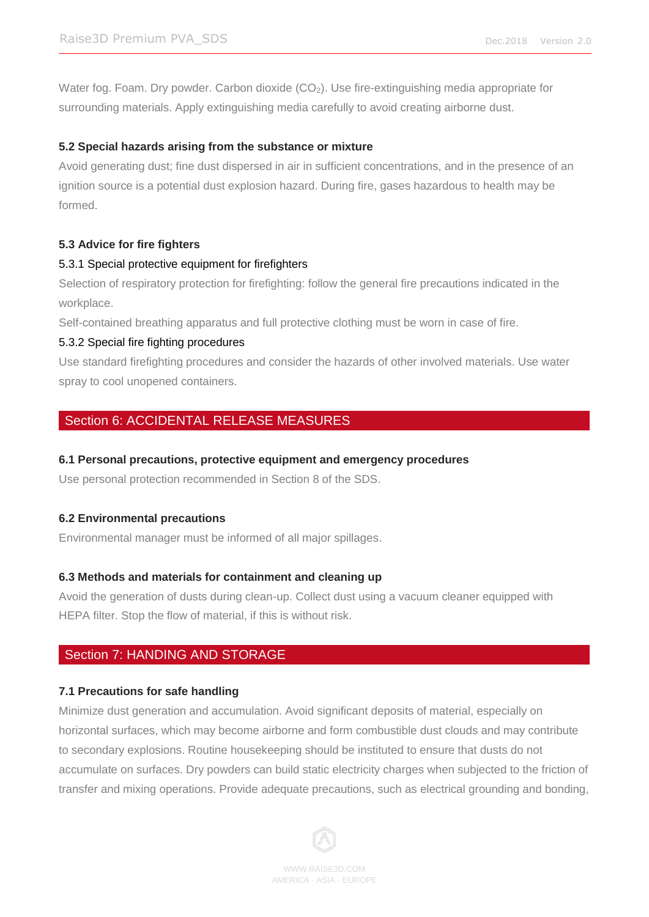Water fog. Foam. Dry powder. Carbon dioxide (CO<sub>2</sub>). Use fire-extinguishing media appropriate for surrounding materials. Apply extinguishing media carefully to avoid creating airborne dust.

## **5.2 Special hazards arising from the substance or mixture**

Avoid generating dust; fine dust dispersed in air in sufficient concentrations, and in the presence of an ignition source is a potential dust explosion hazard. During fire, gases hazardous to health may be formed.

## **5.3 Advice for fire fighters**

## 5.3.1 Special protective equipment for firefighters

Selection of respiratory protection for firefighting: follow the general fire precautions indicated in the workplace.

Self-contained breathing apparatus and full protective clothing must be worn in case of fire.

## 5.3.2 Special fire fighting procedures

Use standard firefighting procedures and consider the hazards of other involved materials. Use water spray to cool unopened containers.

# Section 6: ACCIDENTAL RELEASE MEASURES

### **6.1 Personal precautions, protective equipment and emergency procedures**

Use personal protection recommended in Section 8 of the SDS.

### **6.2 Environmental precautions**

Environmental manager must be informed of all major spillages.

### **6.3 Methods and materials for containment and cleaning up**

Avoid the generation of dusts during clean-up. Collect dust using a vacuum cleaner equipped with HEPA filter. Stop the flow of material, if this is without risk.

# Section 7: HANDING AND STORAGE

### **7.1 Precautions for safe handling**

Minimize dust generation and accumulation. Avoid significant deposits of material, especially on horizontal surfaces, which may become airborne and form combustible dust clouds and may contribute to secondary explosions. Routine housekeeping should be instituted to ensure that dusts do not accumulate on surfaces. Dry powders can build static electricity charges when subjected to the friction of transfer and mixing operations. Provide adequate precautions, such as electrical grounding and bonding,

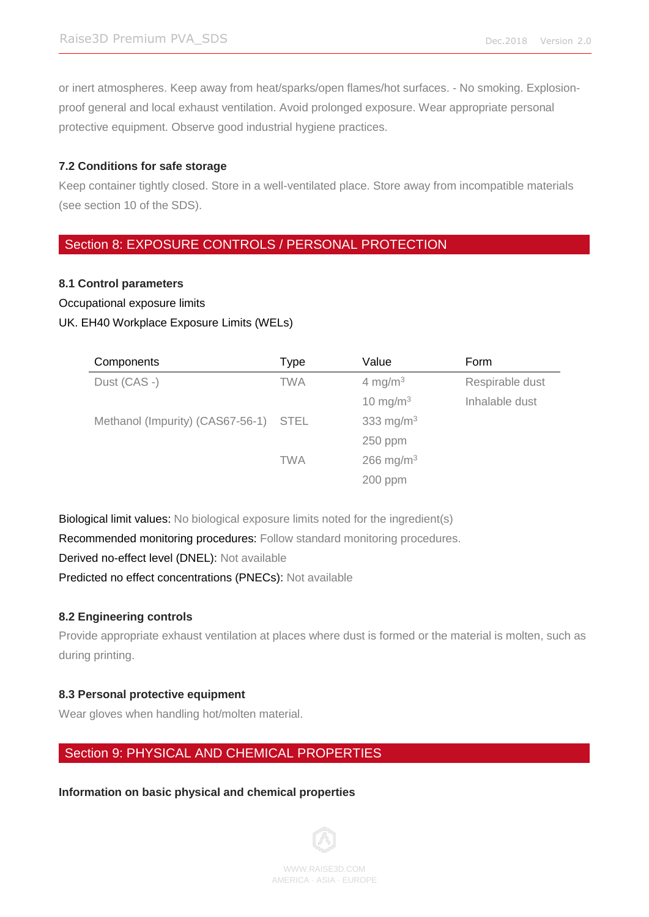or inert atmospheres. Keep away from heat/sparks/open flames/hot surfaces. - No smoking. Explosionproof general and local exhaust ventilation. Avoid prolonged exposure. Wear appropriate personal protective equipment. Observe good industrial hygiene practices.

## **7.2 Conditions for safe storage**

Keep container tightly closed. Store in a well-ventilated place. Store away from incompatible materials (see section 10 of the SDS).

# Section 8: EXPOSURE CONTROLS / PERSONAL PROTECTION

## **8.1 Control parameters**

Occupational exposure limits

## UK. EH40 Workplace Exposure Limits (WELs)

| Components                            | Type       | Value                 | Form            |
|---------------------------------------|------------|-----------------------|-----------------|
| Dust (CAS -)                          | <b>TWA</b> | 4 mg/m $3$            | Respirable dust |
|                                       |            | 10 mg/m $3$           | Inhalable dust  |
| Methanol (Impurity) (CAS67-56-1) STEL |            | 333 mg/m $3$          |                 |
|                                       |            | 250 ppm               |                 |
|                                       | <b>TWA</b> | 266 mg/m <sup>3</sup> |                 |
|                                       |            | $200$ ppm             |                 |

Biological limit values: No biological exposure limits noted for the ingredient(s)

Recommended monitoring procedures: Follow standard monitoring procedures.

Derived no-effect level (DNEL): Not available

Predicted no effect concentrations (PNECs): Not available

# **8.2 Engineering controls**

Provide appropriate exhaust ventilation at places where dust is formed or the material is molten, such as during printing.

# **8.3 Personal protective equipment**

Wear gloves when handling hot/molten material.

# Section 9: PHYSICAL AND CHEMICAL PROPERTIES

**Information on basic physical and chemical properties**

WWW.RAISE3D.COM AMERICA ·ASIA · EUROPE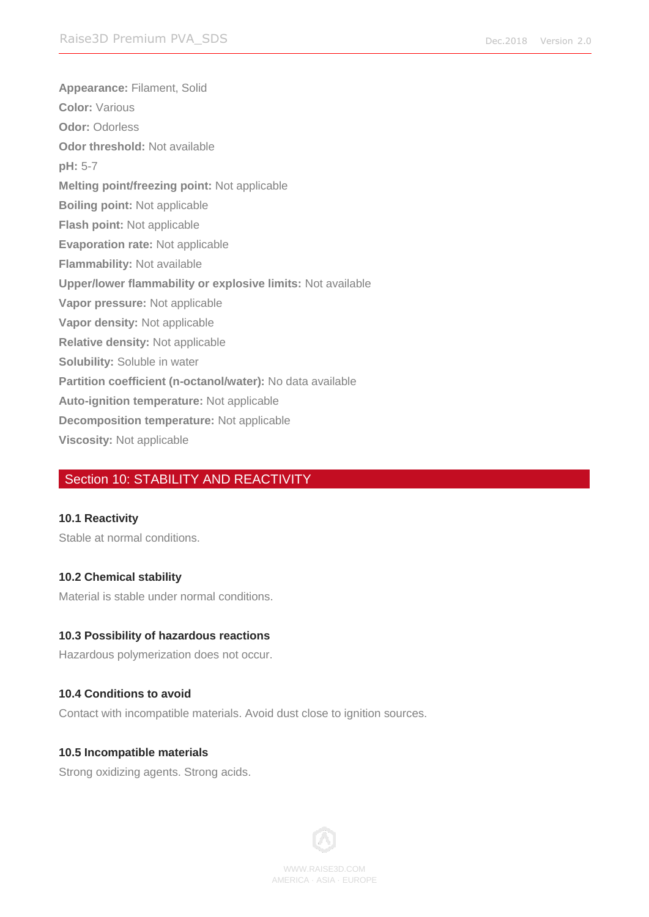**Appearance:** Filament, Solid **Color:** Various **Odor:** Odorless **Odor threshold:** Not available **pH:** 5-7 **Melting point/freezing point:** Not applicable **Boiling point:** Not applicable **Flash point:** Not applicable **Evaporation rate:** Not applicable **Flammability:** Not available **Upper/lower flammability or explosive limits:** Not available **Vapor pressure:** Not applicable **Vapor density:** Not applicable **Relative density:** Not applicable **Solubility:** Soluble in water **Partition coefficient (n-octanol/water):** No data available **Auto-ignition temperature:** Not applicable **Decomposition temperature:** Not applicable **Viscosity:** Not applicable

# Section 10: STABILITY AND REACTIVITY

### **10.1 Reactivity**

Stable at normal conditions.

### **10.2 Chemical stability**

Material is stable under normal conditions.

### **10.3 Possibility of hazardous reactions**

Hazardous polymerization does not occur.

### **10.4 Conditions to avoid**

Contact with incompatible materials. Avoid dust close to ignition sources.

### **10.5 Incompatible materials**

Strong oxidizing agents. Strong acids.



WWW.RAISE3D.COM AMERICA ·ASIA · EUROPE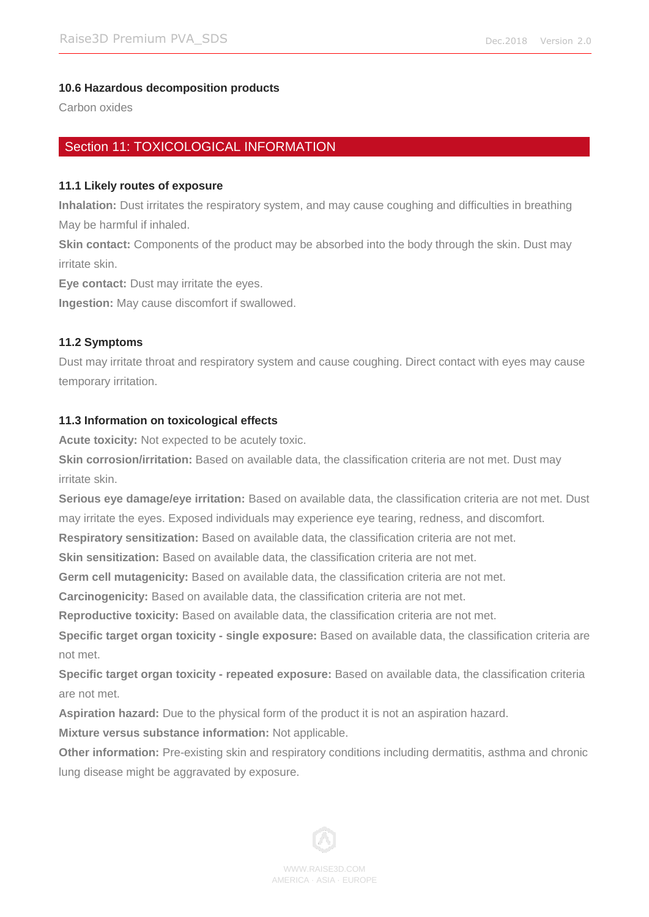## **10.6 Hazardous decomposition products**

Carbon oxides

# Section 11: TOXICOLOGICAL INFORMATION

### **11.1 Likely routes of exposure**

**Inhalation:** Dust irritates the respiratory system, and may cause coughing and difficulties in breathing May be harmful if inhaled.

**Skin contact:** Components of the product may be absorbed into the body through the skin. Dust may irritate skin.

**Eye contact:** Dust may irritate the eyes.

**Ingestion:** May cause discomfort if swallowed.

## **11.2 Symptoms**

Dust may irritate throat and respiratory system and cause coughing. Direct contact with eyes may cause temporary irritation.

## **11.3 Information on toxicological effects**

**Acute toxicity:** Not expected to be acutely toxic.

**Skin corrosion/irritation:** Based on available data, the classification criteria are not met. Dust may irritate skin.

**Serious eye damage/eye irritation:** Based on available data, the classification criteria are not met. Dust may irritate the eyes. Exposed individuals may experience eye tearing, redness, and discomfort.

**Respiratory sensitization:** Based on available data, the classification criteria are not met.

**Skin sensitization:** Based on available data, the classification criteria are not met.

**Germ cell mutagenicity:** Based on available data, the classification criteria are not met.

**Carcinogenicity:** Based on available data, the classification criteria are not met.

**Reproductive toxicity:** Based on available data, the classification criteria are not met.

**Specific target organ toxicity - single exposure:** Based on available data, the classification criteria are not met.

**Specific target organ toxicity - repeated exposure:** Based on available data, the classification criteria are not met.

**Aspiration hazard:** Due to the physical form of the product it is not an aspiration hazard.

**Mixture versus substance information:** Not applicable.

**Other information:** Pre-existing skin and respiratory conditions including dermatitis, asthma and chronic lung disease might be aggravated by exposure.

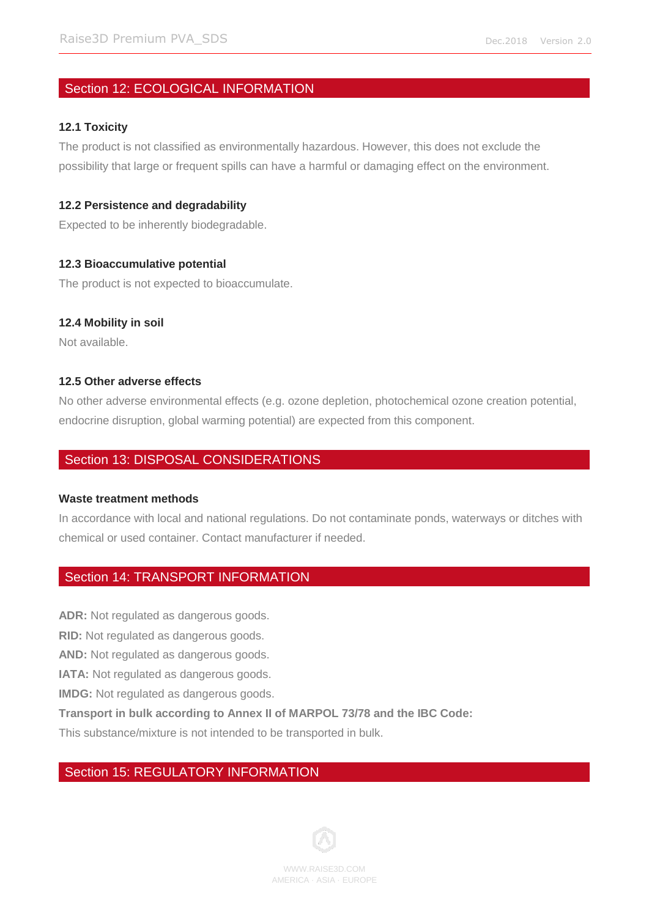# Section 12: ECOLOGICAL INFORMATION

### **12.1 Toxicity**

The product is not classified as environmentally hazardous. However, this does not exclude the possibility that large or frequent spills can have a harmful or damaging effect on the environment.

### **12.2 Persistence and degradability**

Expected to be inherently biodegradable.

## **12.3 Bioaccumulative potential**

The product is not expected to bioaccumulate.

## **12.4 Mobility in soil**

Not available.

### **12.5 Other adverse effects**

No other adverse environmental effects (e.g. ozone depletion, photochemical ozone creation potential, endocrine disruption, global warming potential) are expected from this component.

# Section 13: DISPOSAL CONSIDERATIONS

### **Waste treatment methods**

In accordance with local and national regulations. Do not contaminate ponds, waterways or ditches with chemical or used container. Contact manufacturer if needed.

# Section 14: TRANSPORT INFORMATION

**ADR:** Not regulated as dangerous goods.

**RID:** Not regulated as dangerous goods.

**AND:** Not regulated as dangerous goods.

**IATA:** Not regulated as dangerous goods.

**IMDG:** Not regulated as dangerous goods.

**Transport in bulk according to Annex II of MARPOL 73/78 and the IBC Code:**

This substance/mixture is not intended to be transported in bulk.

# Section 15: REGULATORY INFORMATION

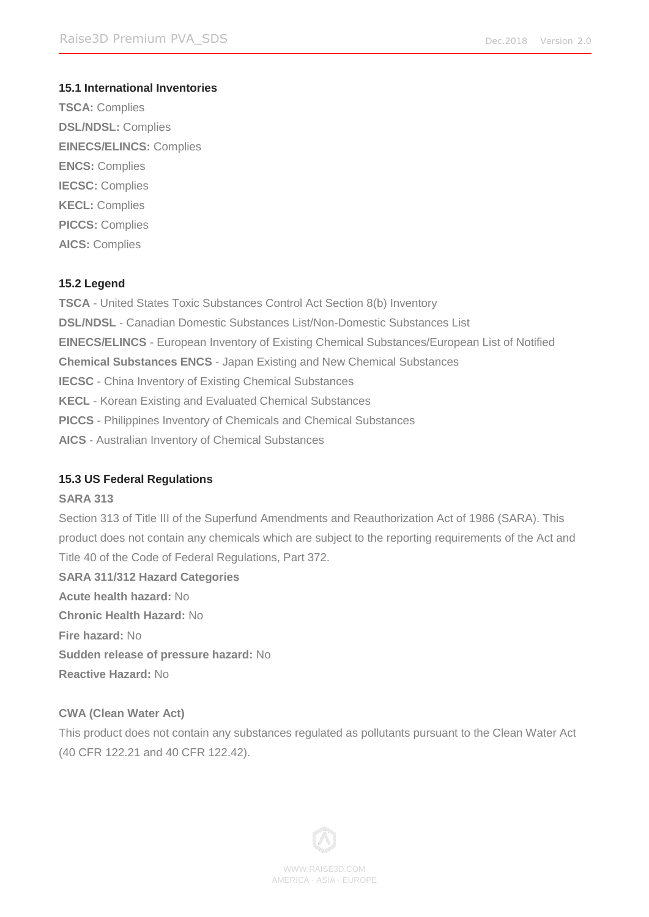# **15.1 International Inventories**

**TSCA:** Complies **DSL/NDSL:** Complies **EINECS/ELINCS:** Complies **ENCS:** Complies **IECSC:** Complies **KECL:** Complies **PICCS:** Complies **AICS:** Complies

## **15.2 Legend**

**TSCA** - United States Toxic Substances Control Act Section 8(b) Inventory **DSL/NDSL** - Canadian Domestic Substances List/Non-Domestic Substances List **EINECS/ELINCS** - European Inventory of Existing Chemical Substances/European List of Notified **Chemical Substances ENCS** - Japan Existing and New Chemical Substances **IECSC** - China Inventory of Existing Chemical Substances **KECL** - Korean Existing and Evaluated Chemical Substances **PICCS** - Philippines Inventory of Chemicals and Chemical Substances **AICS** - Australian Inventory of Chemical Substances

# **15.3 US Federal Regulations**

### **SARA 313**

Section 313 of Title III of the Superfund Amendments and Reauthorization Act of 1986 (SARA). This product does not contain any chemicals which are subject to the reporting requirements of the Act and Title 40 of the Code of Federal Regulations, Part 372. **SARA 311/312 Hazard Categories**

**Acute health hazard:** No **Chronic Health Hazard:** No **Fire hazard:** No **Sudden release of pressure hazard:** No **Reactive Hazard:** No

# **CWA (Clean Water Act)**

This product does not contain any substances regulated as pollutants pursuant to the Clean Water Act (40 CFR 122.21 and 40 CFR 122.42).